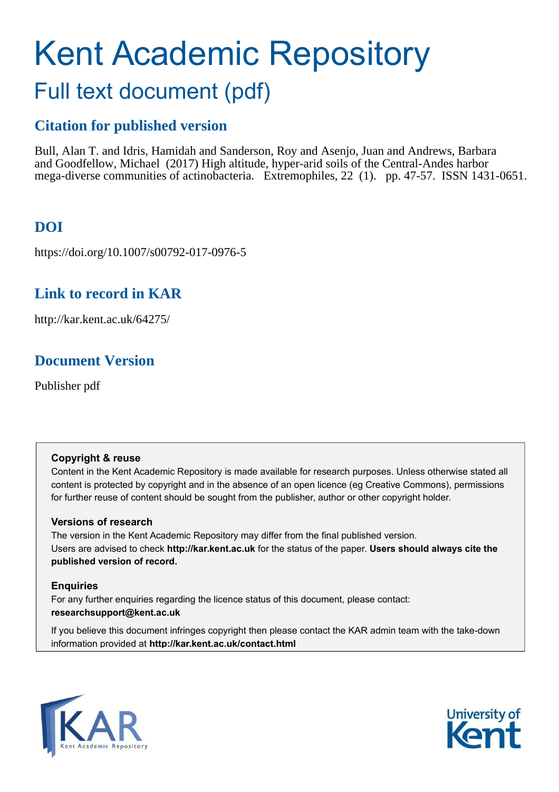# Kent Academic Repository Full text document (pdf)

# **Citation for published version**

Bull, Alan T. and Idris, Hamidah and Sanderson, Roy and Asenjo, Juan and Andrews, Barbara and Goodfellow, Michael (2017) High altitude, hyper-arid soils of the Central-Andes harbor mega-diverse communities of actinobacteria. Extremophiles, 22 (1). pp. 47-57. ISSN 1431-0651.

# **DOI**

https://doi.org/10.1007/s00792-017-0976-5

# **Link to record in KAR**

http://kar.kent.ac.uk/64275/

# **Document Version**

Publisher pdf

# **Copyright & reuse**

Content in the Kent Academic Repository is made available for research purposes. Unless otherwise stated all content is protected by copyright and in the absence of an open licence (eg Creative Commons), permissions for further reuse of content should be sought from the publisher, author or other copyright holder.

# **Versions of research**

The version in the Kent Academic Repository may differ from the final published version. Users are advised to check **http://kar.kent.ac.uk** for the status of the paper. **Users should always cite the published version of record.**

# **Enquiries**

For any further enquiries regarding the licence status of this document, please contact: **researchsupport@kent.ac.uk**

If you believe this document infringes copyright then please contact the KAR admin team with the take-down information provided at **http://kar.kent.ac.uk/contact.html**



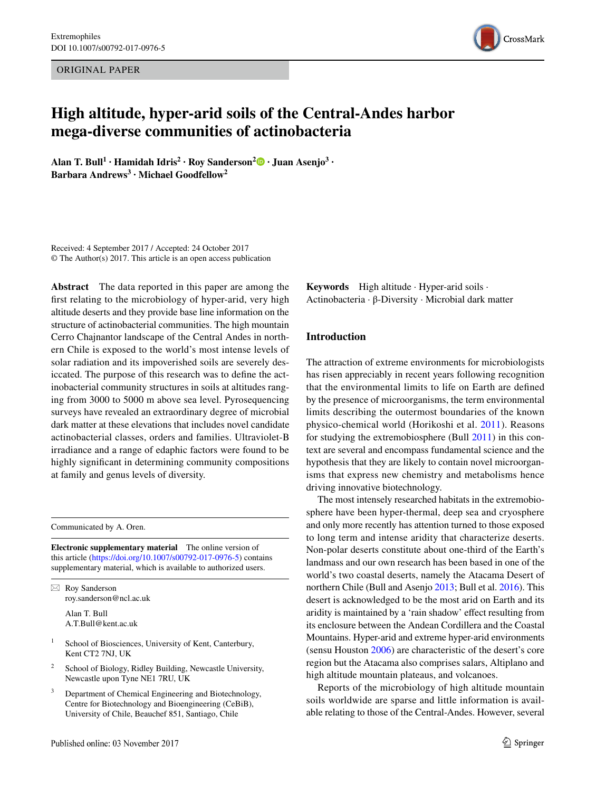ORIGINAL PAPER



# **High altitude, hyper‑arid soils of the Central‑Andes harbor mega‑diverse communities of actinobacteria**

**Alan T. Bull<sup>1</sup> · Hamidah Idris<sup>2</sup> · Roy Sanderson<sup>2</sup> · Juan Asenjo<sup>3</sup> · Barbara Andrews<sup>3</sup> · Michael Goodfellow<sup>2</sup>**

Received: 4 September 2017 / Accepted: 24 October 2017 © The Author(s) 2017. This article is an open access publication

**Abstract** The data reported in this paper are among the first relating to the microbiology of hyper-arid, very high altitude deserts and they provide base line information on the structure of actinobacterial communities. The high mountain Cerro Chajnantor landscape of the Central Andes in northern Chile is exposed to the world's most intense levels of solar radiation and its impoverished soils are severely desiccated. The purpose of this research was to define the actinobacterial community structures in soils at altitudes ranging from 3000 to 5000 m above sea level. Pyrosequencing surveys have revealed an extraordinary degree of microbial dark matter at these elevations that includes novel candidate actinobacterial classes, orders and families. Ultraviolet-B irradiance and a range of edaphic factors were found to be highly significant in determining community compositions at family and genus levels of diversity.

Communicated by A. Oren.

<span id="page-1-0"></span>**Electronic supplementary material** The online version of this article (<https://doi.org/10.1007/s00792-017-0976-5>) contains supplementary material, which is available to authorized users.

 $\boxtimes$  Roy Sanderson roy.sanderson@ncl.ac.uk Alan T. Bull A.T.Bull@kent.ac.uk

- 1 School of Biosciences, University of Kent, Canterbury, Kent CT2 7NJ, UK
- 2 School of Biology, Ridley Building, Newcastle University, Newcastle upon Tyne NE1 7RU, UK
- 3 Department of Chemical Engineering and Biotechnology, Centre for Biotechnology and Bioengineering (CeBiB), University of Chile, Beauchef 851, Santiago, Chile

**Keywords** High altitude  $\cdot$  Hyper-arid soils  $\cdot$ Actinobacteria · β-Diversity · Microbial dark matter

## **Introduction**

The attraction of extreme environments for microbiologists has risen appreciably in recent years following recognition that the environmental limits to life on Earth are defined by the presence of microorganisms, the term environmental limits describing the outermost boundaries of the known physico-chemical world (Horikoshi et al. [2011](#page-9-0)). Reasons for studying the extremobiosphere (Bull [2011\)](#page-9-1) in this context are several and encompass fundamental science and the hypothesis that they are likely to contain novel microorganisms that express new chemistry and metabolisms hence driving innovative biotechnology.

The most intensely researched habitats in the extremobiosphere have been hyper-thermal, deep sea and cryosphere and only more recently has attention turned to those exposed to long term and intense aridity that characterize deserts. Non-polar deserts constitute about one-third of the Earth's landmass and our own research has been based in one of the world's two coastal deserts, namely the Atacama Desert of northern Chile (Bull and Asenjo [2013](#page-9-2); Bull et al. [2016\)](#page-9-3). This desert is acknowledged to be the most arid on Earth and its aridity is maintained by a 'rain shadow' efect resulting from its enclosure between the Andean Cordillera and the Coastal Mountains. Hyper-arid and extreme hyper-arid environments (sensu Houston [2006](#page-9-0)) are characteristic of the desert's core region but the Atacama also comprises salars, Altiplano and high altitude mountain plateaus, and volcanoes.

Reports of the microbiology of high altitude mountain soils worldwide are sparse and little information is available relating to those of the Central-Andes. However, several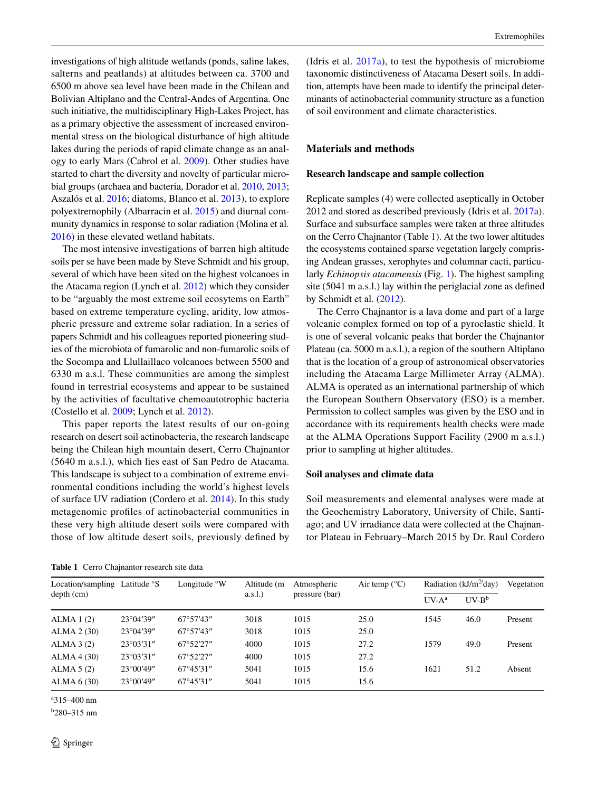<span id="page-2-0"></span>investigations of high altitude wetlands (ponds, saline lakes, salterns and peatlands) at altitudes between ca. 3700 and 6500 m above sea level have been made in the Chilean and Bolivian Altiplano and the Central-Andes of Argentina. One such initiative, the multidisciplinary High-Lakes Project, has as a primary objective the assessment of increased environmental stress on the biological disturbance of high altitude lakes during the periods of rapid climate change as an analogy to early Mars (Cabrol et al. [2009](#page-9-4)). Other studies have started to chart the diversity and novelty of particular microbial groups (archaea and bacteria, Dorador et al. [2010,](#page-9-5) [2013](#page-9-6); Aszalós et al. [2016;](#page-9-7) diatoms, Blanco et al. [2013](#page-9-8)), to explore polyextremophily (Albarracin et al. [2015](#page-9-9)) and diurnal community dynamics in response to solar radiation (Molina et al. [2016](#page-10-0)) in these elevated wetland habitats.

The most intensive investigations of barren high altitude soils per se have been made by Steve Schmidt and his group, several of which have been sited on the highest volcanoes in the Atacama region (Lynch et al. [2012\)](#page-9-10) which they consider to be "arguably the most extreme soil ecosytems on Earth" based on extreme temperature cycling, aridity, low atmospheric pressure and extreme solar radiation. In a series of papers Schmidt and his colleagues reported pioneering studies of the microbiota of fumarolic and non-fumarolic soils of the Socompa and Llullaillaco volcanoes between 5500 and 6330 m a.s.l. These communities are among the simplest found in terrestrial ecosystems and appear to be sustained by the activities of facultative chemoautotrophic bacteria (Costello et al. [2009;](#page-9-11) Lynch et al. [2012\)](#page-9-10).

This paper reports the latest results of our on-going research on desert soil actinobacteria, the research landscape being the Chilean high mountain desert, Cerro Chajnantor (5640 m a.s.l.), which lies east of San Pedro de Atacama. This landscape is subject to a combination of extreme environmental conditions including the world's highest levels of surface UV radiation (Cordero et al. [2014\)](#page-9-12). In this study metagenomic profiles of actinobacterial communities in these very high altitude desert soils were compared with those of low altitude desert soils, previously defined by (Idris et al. [2017a](#page-9-13)), to test the hypothesis of microbiome taxonomic distinctiveness of Atacama Desert soils. In addition, attempts have been made to identify the principal determinants of actinobacterial community structure as a function of soil environment and climate characteristics.

# **Materials and methods**

## **Research landscape and sample collection**

Replicate samples (4) were collected aseptically in October 2012 and stored as described previously (Idris et al. [2017a](#page-9-13)). Surface and subsurface samples were taken at three altitudes on the Cerro Chajnantor (Table [1\)](#page-1-0). At the two lower altitudes the ecosystems contained sparse vegetation largely comprising Andean grasses, xerophytes and columnar cacti, particularly *Echinopsis atacamensis* (Fig. [1\)](#page-2-0). The highest sampling site (5041 m a.s.l.) lay within the periglacial zone as defined by Schmidt et al. ([2012\)](#page-10-1).

The Cerro Chajnantor is a lava dome and part of a large volcanic complex formed on top of a pyroclastic shield. It is one of several volcanic peaks that border the Chajnantor Plateau (ca. 5000 m a.s.l.), a region of the southern Altiplano that is the location of a group of astronomical observatories including the Atacama Large Millimeter Array (ALMA). ALMA is operated as an international partnership of which the European Southern Observatory (ESO) is a member. Permission to collect samples was given by the ESO and in accordance with its requirements health checks were made at the ALMA Operations Support Facility (2900 m a.s.l.) prior to sampling at higher altitudes.

## **Soil analyses and climate data**

Soil measurements and elemental analyses were made at the Geochemistry Laboratory, University of Chile, Santiago; and UV irradiance data were collected at the Chajnantor Plateau in February–March 2015 by Dr. Raul Cordero

**Table 1** Cerro Chajnantor research site data

| Location/sampling Latitude $\degree$ S |                     | Longitude <sup>o</sup> W | Altitude (m | Atmospheric | Air temp $(^{\circ}C)$ | Radiation ( $kJ/m^2$ day) |      | Vegetation |
|----------------------------------------|---------------------|--------------------------|-------------|-------------|------------------------|---------------------------|------|------------|
| $depth$ (cm)                           |                     | pressure (bar)<br>a.s.l. |             |             | $UV-A^a$               | $UV-B^b$                  |      |            |
| ALMA1(2)                               | $23^{\circ}04'39''$ | $67^{\circ}57'43''$      | 3018        | 1015        | 25.0                   | 1545                      | 46.0 | Present    |
| ALMA 2 (30)                            | 23°04'39"           | $67^{\circ}57'43''$      | 3018        | 1015        | 25.0                   |                           |      |            |
| ALMA 3 (2)                             | $23^{\circ}03'31''$ | $67^{\circ}52'27''$      | 4000        | 1015        | 27.2                   | 1579                      | 49.0 | Present    |
| ALMA 4 (30)                            | $23^{\circ}03'31''$ | $67^{\circ}52'27''$      | 4000        | 1015        | 27.2                   |                           |      |            |
| ALMA 5(2)                              | $23^{\circ}00'49''$ | $67^{\circ}45'31''$      | 5041        | 1015        | 15.6                   | 1621                      | 51.2 | Absent     |
| ALMA 6(30)                             | $23^{\circ}00'49''$ | $67^{\circ}45'31''$      | 5041        | 1015        | 15.6                   |                           |      |            |

a 315–400 nm

b 280–315 nm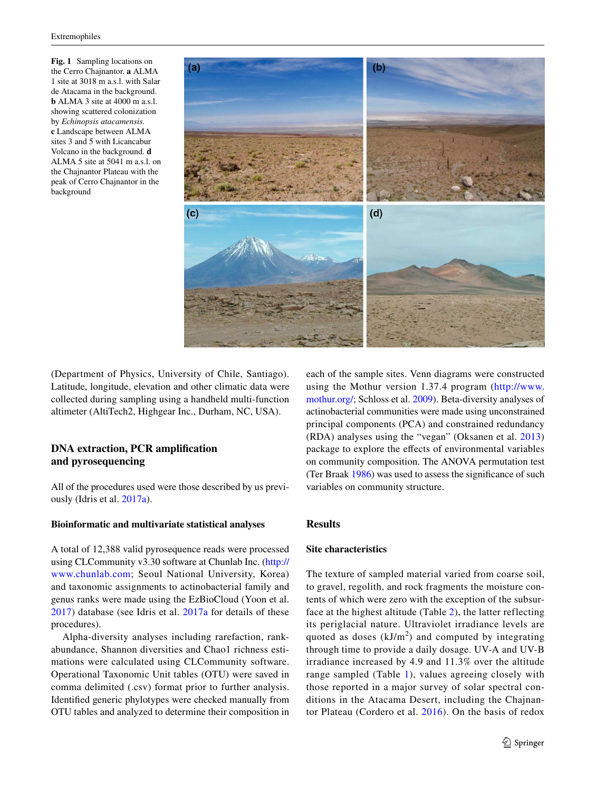<span id="page-3-0"></span>**Fig. 1** Sampling locations on the Cerro Chajnantor. **a** ALMA 1 site at 3018 m a.s.l. with Salar de Atacama in the background. **b** ALMA 3 site at 4000 m a.s.l. showing scattered colonization by *Echinopsis atacamensis.* **c** Landscape between ALMA sites 3 and 5 with Licancabur Volcano in the background. **d** ALMA 5 site at 5041 m a.s.l. on the Chajnantor Plateau with the peak of Cerro Chajnantor in the background



<span id="page-3-1"></span>(Department of Physics, University of Chile, Santiago). Latitude, longitude, elevation and other climatic data were collected during sampling using a handheld multi-function altimeter (AltiTech2, Highgear Inc., Durham, NC, USA).

# **DNA extraction, PCR amplification and pyrosequencing**

All of the procedures used were those described by us previously (Idris et al. [2017a](#page-9-13)).

## **Bioinformatic and multivariate statistical analyses**

A total of 12,388 valid pyrosequence reads were processed using CLCommunity v3.30 software at Chunlab Inc. [\(http://](http://www.chunlab.com) [www.chunlab.com;](http://www.chunlab.com) Seoul National University, Korea) and taxonomic assignments to actinobacterial family and genus ranks were made using the EzBioCloud (Yoon et al. [2017\)](#page-10-2) database (see Idris et al. [2017a](#page-9-13) for details of these procedures).

Alpha-diversity analyses including rarefaction, rankabundance, Shannon diversities and Chao1 richness estimations were calculated using CLCommunity software. Operational Taxonomic Unit tables (OTU) were saved in comma delimited (.csv) format prior to further analysis. Identified generic phylotypes were checked manually from OTU tables and analyzed to determine their composition in <span id="page-3-2"></span>each of the sample sites. Venn diagrams were constructed using the Mothur version 1.37.4 program ([http://www.](http://www.mothur.org/) [mothur.org/](http://www.mothur.org/); Schloss et al. [2009\)](#page-10-3). Beta-diversity analyses of actinobacterial communities were made using unconstrained principal components (PCA) and constrained redundancy (RDA) analyses using the "vegan" (Oksanen et al. [2013\)](#page-10-4) package to explore the efects of environmental variables on community composition. The ANOVA permutation test (Ter Braak [1986](#page-10-5)) was used to assess the significance of such variables on community structure.

# **Results**

## **Site characteristics**

The texture of sampled material varied from coarse soil, to gravel, regolith, and rock fragments the moisture contents of which were zero with the exception of the subsurface at the highest altitude (Table [2](#page-3-0)), the latter reflecting its periglacial nature. Ultraviolet irradiance levels are quoted as doses  $(kJ/m<sup>2</sup>)$  and computed by integrating through time to provide a daily dosage. UV-A and UV-B irradiance increased by 4.9 and 11.3% over the altitude range sampled (Table [1](#page-1-0)), values agreeing closely with those reported in a major survey of solar spectral conditions in the Atacama Desert, including the Chajnantor Plateau (Cordero et al. [2016\)](#page-9-14). On the basis of redox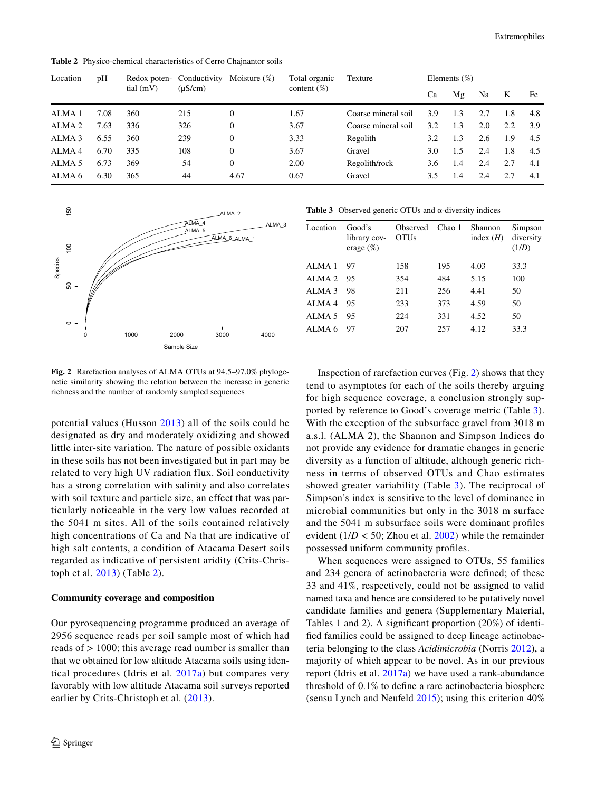| Location          | pH   |             | Redox poten- Conductivity | Moisture $(\%)$ | Total organic  | Texture             | Elements $(\%)$ |     |     |     |     |
|-------------------|------|-------------|---------------------------|-----------------|----------------|---------------------|-----------------|-----|-----|-----|-----|
|                   |      | tial $(mV)$ | $(\mu S/cm)$              |                 | content $(\%)$ |                     | Ca              | Mg  | Na  | K   | Fe  |
| ALMA <sub>1</sub> | 7.08 | 360         | 215                       | $\overline{0}$  | 1.67           | Coarse mineral soil | 3.9             | 1.3 | 2.7 | 1.8 | 4.8 |
| ALMA <sub>2</sub> | 7.63 | 336         | 326                       | $\Omega$        | 3.67           | Coarse mineral soil | 3.2             | 1.3 | 2.0 | 2.2 | 3.9 |
| ALMA <sub>3</sub> | 6.55 | 360         | 239                       | $\Omega$        | 3.33           | Regolith            | 3.2             | 1.3 | 2.6 | 1.9 | 4.5 |
| ALMA <sub>4</sub> | 6.70 | 335         | 108                       | $\Omega$        | 3.67           | Gravel              | 3.0             | 1.5 | 2.4 | 1.8 | 4.5 |
| ALMA <sub>5</sub> | 6.73 | 369         | 54                        | $\Omega$        | 2.00           | Regolith/rock       | 3.6             | 1.4 | 2.4 | 2.7 | 4.1 |
| ALMA <sub>6</sub> | 6.30 | 365         | 44                        | 4.67            | 0.67           | Gravel              | 3.5             | .4  | 2.4 | 2.7 | 4.1 |

**Table 2** Physico-chemical characteristics of Cerro Chajnantor soils



**Fig. 2** Rarefaction analyses of ALMA OTUs at 94.5–97.0% phylogenetic similarity showing the relation between the increase in generic richness and the number of randomly sampled sequences

<span id="page-4-0"></span>potential values (Husson [2013](#page-9-15)) all of the soils could be designated as dry and moderately oxidizing and showed little inter-site variation. The nature of possible oxidants in these soils has not been investigated but in part may be related to very high UV radiation flux. Soil conductivity has a strong correlation with salinity and also correlates with soil texture and particle size, an effect that was particularly noticeable in the very low values recorded at the 5041 m sites. All of the soils contained relatively high concentrations of Ca and Na that are indicative of high salt contents, a condition of Atacama Desert soils regarded as indicative of persistent aridity (Crits-Christoph et al. [2013\)](#page-9-16) (Table [2](#page-3-0)).

#### **Community coverage and composition**

Our pyrosequencing programme produced an average of 2956 sequence reads per soil sample most of which had reads of > 1000; this average read number is smaller than that we obtained for low altitude Atacama soils using identical procedures (Idris et al. [2017a\)](#page-9-13) but compares very favorably with low altitude Atacama soil surveys reported earlier by Crits-Christoph et al. ([2013](#page-9-16)).

**Table 3** Observed generic OTUs and α-diversity indices

| Location          | Good's<br>library cov-<br>erage $(\%)$ | Observed<br><b>OTUs</b> | Chao 1 | Shannon<br>index $(H)$ | Simpson<br>diversity<br>(1/D) |
|-------------------|----------------------------------------|-------------------------|--------|------------------------|-------------------------------|
| ALMA <sub>1</sub> | 97                                     | 158                     | 195    | 4.03                   | 33.3                          |
| ALMA <sub>2</sub> | 95                                     | 354                     | 484    | 5.15                   | 100                           |
| ALMA <sub>3</sub> | 98                                     | 211                     | 256    | 4.41                   | 50                            |
| ALMA <sub>4</sub> | 95                                     | 233                     | 373    | 4.59                   | 50                            |
| ALMA <sub>5</sub> | 95                                     | 224                     | 331    | 4.52                   | 50                            |
| ALMA 6            | 97                                     | 207                     | 257    | 4.12                   | 33.3                          |

Inspection of rarefaction curves (Fig. [2\)](#page-3-1) shows that they tend to asymptotes for each of the soils thereby arguing for high sequence coverage, a conclusion strongly supported by reference to Good's coverage metric (Table [3](#page-3-2)). With the exception of the subsurface gravel from 3018 m a.s.l. (ALMA 2), the Shannon and Simpson Indices do not provide any evidence for dramatic changes in generic diversity as a function of altitude, although generic richness in terms of observed OTUs and Chao estimates showed greater variability (Table [3](#page-3-2)). The reciprocal of Simpson's index is sensitive to the level of dominance in microbial communities but only in the 3018 m surface and the 5041 m subsurface soils were dominant profiles evident  $(1/D < 50;$  Zhou et al. [2002\)](#page-10-6) while the remainder possessed uniform community profiles.

When sequences were assigned to OTUs, 55 families and 234 genera of actinobacteria were defined; of these 33 and 41%, respectively, could not be assigned to valid named taxa and hence are considered to be putatively novel candidate families and genera (Supplementary Material, Tables 1 and 2). A significant proportion (20%) of identified families could be assigned to deep lineage actinobacteria belonging to the class *Acidimicrobia* (Norris [2012](#page-10-7)), a majority of which appear to be novel. As in our previous report (Idris et al. [2017a\)](#page-9-13) we have used a rank-abundance threshold of 0.1% to deine a rare actinobacteria biosphere (sensu Lynch and Neufeld [2015\)](#page-9-17); using this criterion 40%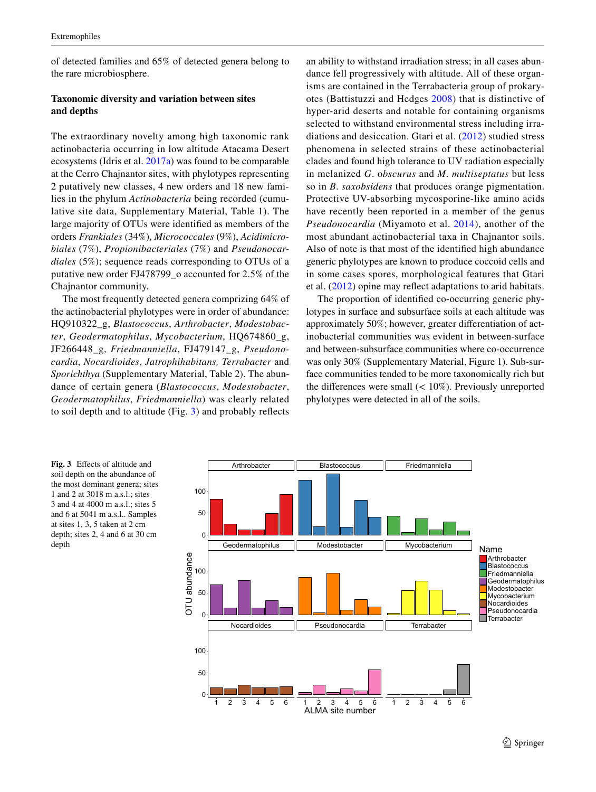of detected families and 65% of detected genera belong to the rare microbiosphere.

# **Taxonomic diversity and variation between sites and depths**

The extraordinary novelty among high taxonomic rank actinobacteria occurring in low altitude Atacama Desert ecosystems (Idris et al. [2017a\)](#page-9-13) was found to be comparable at the Cerro Chajnantor sites, with phylotypes representing 2 putatively new classes, 4 new orders and 18 new families in the phylum *Actinobacteria* being recorded (cumulative site data, Supplementary Material, Table 1). The large majority of OTUs were identified as members of the orders *Frankiales* (34%), *Micrococcales* (9%), *Acidimicrobiales* (7%), *Propionibacteriales* (7%) and *Pseudonocardiales* (5%); sequence reads corresponding to OTUs of a putative new order FJ478799\_o accounted for 2.5% of the Chajnantor community.

<span id="page-5-0"></span>The most frequently detected genera comprizing 64% of the actinobacterial phylotypes were in order of abundance: HQ910322\_g, *Blastococcus*, *Arthrobacter*, *Modestobacter*, *Geodermatophilus*, *Mycobacterium*, HQ674860\_g, JF266448\_g, *Friedmanniella*, FJ479147\_g, *Pseudonocardia*, *Nocardioides*, *Jatrophihabitans, Terrabacter* and *Sporichthya* (Supplementary Material, Table 2). The abundance of certain genera (*Blastococcus*, *Modestobacter*, *Geodermatophilus*, *Friedmanniella*) was clearly related to soil depth and to altitude (Fig.  $3$ ) and probably reflects an ability to withstand irradiation stress; in all cases abundance fell progressively with altitude. All of these organisms are contained in the Terrabacteria group of prokaryotes (Battistuzzi and Hedges [2008](#page-9-18)) that is distinctive of hyper-arid deserts and notable for containing organisms selected to withstand environmental stress including irradiations and desiccation. Gtari et al. ([2012\)](#page-9-19) studied stress phenomena in selected strains of these actinobacterial clades and found high tolerance to UV radiation especially in melanized *G*. o*bscurus* and *M*. *multiseptatus* but less so in *B*. *saxobsidens* that produces orange pigmentation. Protective UV-absorbing mycosporine-like amino acids have recently been reported in a member of the genus *Pseudonocardia* (Miyamoto et al. [2014\)](#page-10-8), another of the most abundant actinobacterial taxa in Chajnantor soils. Also of note is that most of the identified high abundance generic phylotypes are known to produce coccoid cells and in some cases spores, morphological features that Gtari et al. ([2012](#page-9-19)) opine may relect adaptations to arid habitats.

The proportion of identified co-occurring generic phylotypes in surface and subsurface soils at each altitude was approximately 50%; however, greater diferentiation of actinobacterial communities was evident in between-surface and between-subsurface communities where co-occurrence was only 30% (Supplementary Material, Figure 1). Sub-surface communities tended to be more taxonomically rich but the differences were small  $(< 10\%)$ . Previously unreported phylotypes were detected in all of the soils.



**Fig. 3** Efects of altitude and soil depth on the abundance of the most dominant genera; sites 1 and 2 at 3018 m a.s.l.; sites 3 and 4 at 4000 m a.s.l.; sites 5 and 6 at 5041 m a.s.l.. Samples at sites 1, 3, 5 taken at 2 cm depth; sites 2, 4 and 6 at 30 cm depth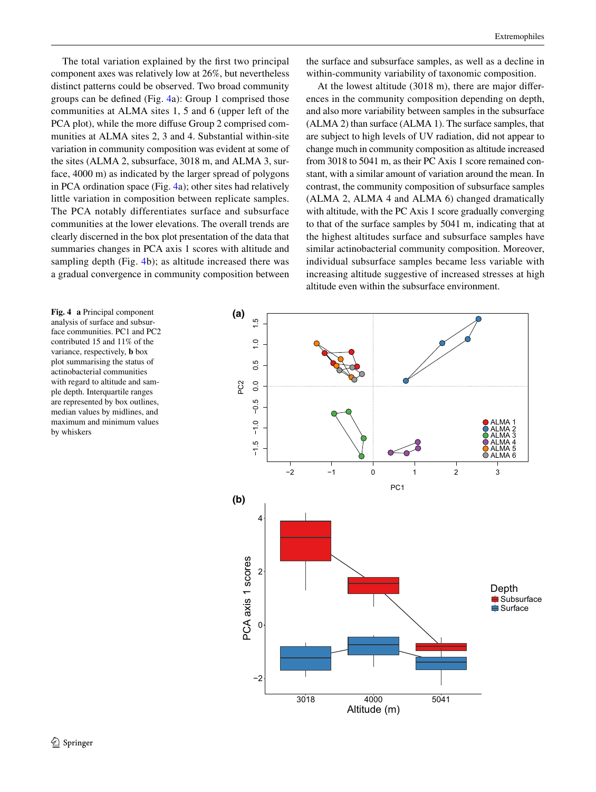The total variation explained by the first two principal component axes was relatively low at 26%, but nevertheless distinct patterns could be observed. Two broad community groups can be deined (Fig. [4a](#page-5-0)): Group 1 comprised those communities at ALMA sites 1, 5 and 6 (upper left of the PCA plot), while the more difuse Group 2 comprised communities at ALMA sites 2, 3 and 4. Substantial within-site variation in community composition was evident at some of the sites (ALMA 2, subsurface, 3018 m, and ALMA 3, surface, 4000 m) as indicated by the larger spread of polygons in PCA ordination space (Fig. [4](#page-5-0)a); other sites had relatively little variation in composition between replicate samples. The PCA notably differentiates surface and subsurface communities at the lower elevations. The overall trends are clearly discerned in the box plot presentation of the data that summaries changes in PCA axis 1 scores with altitude and sampling depth (Fig. [4](#page-5-0)b); as altitude increased there was a gradual convergence in community composition between

<span id="page-6-0"></span>**Fig. 4 a** Principal component analysis of surface and subsurface communities. PC1 and PC2 contributed 15 and 11% of the variance, respectively, **b** box plot summarising the status of actinobacterial communities with regard to altitude and sample depth. Interquartile ranges are represented by box outlines, median values by midlines, and maximum and minimum values by whiskers

the surface and subsurface samples, as well as a decline in within-community variability of taxonomic composition.

At the lowest altitude (3018 m), there are major diferences in the community composition depending on depth, and also more variability between samples in the subsurface (ALMA 2) than surface (ALMA 1). The surface samples, that are subject to high levels of UV radiation, did not appear to change much in community composition as altitude increased from 3018 to 5041 m, as their PC Axis 1 score remained constant, with a similar amount of variation around the mean. In contrast, the community composition of subsurface samples (ALMA 2, ALMA 4 and ALMA 6) changed dramatically with altitude, with the PC Axis 1 score gradually converging to that of the surface samples by 5041 m, indicating that at the highest altitudes surface and subsurface samples have similar actinobacterial community composition. Moreover, individual subsurface samples became less variable with increasing altitude suggestive of increased stresses at high altitude even within the subsurface environment.

<span id="page-6-1"></span>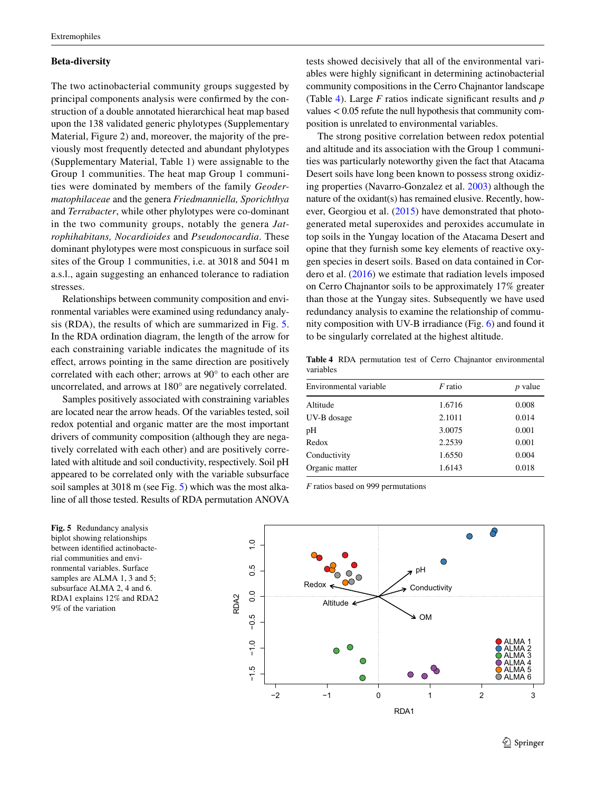## <span id="page-7-0"></span>**Beta‑diversity**

The two actinobacterial community groups suggested by principal components analysis were conirmed by the construction of a double annotated hierarchical heat map based upon the 138 validated generic phylotypes (Supplementary Material, Figure 2) and, moreover, the majority of the previously most frequently detected and abundant phylotypes (Supplementary Material, Table 1) were assignable to the Group 1 communities. The heat map Group 1 communities were dominated by members of the family *Geodermatophilaceae* and the genera *Friedmanniella, Sporichthya* and *Terrabacter*, while other phylotypes were co-dominant in the two community groups, notably the genera *Jatrophihabitans, Nocardioides* and *Pseudonocardia*. These dominant phylotypes were most conspicuous in surface soil sites of the Group 1 communities, i.e. at 3018 and 5041 m a.s.l., again suggesting an enhanced tolerance to radiation stresses.

Relationships between community composition and environmental variables were examined using redundancy analysis (RDA), the results of which are summarized in Fig. [5.](#page-6-0) In the RDA ordination diagram, the length of the arrow for each constraining variable indicates the magnitude of its efect, arrows pointing in the same direction are positively correlated with each other; arrows at 90° to each other are uncorrelated, and arrows at 180° are negatively correlated.

Samples positively associated with constraining variables are located near the arrow heads. Of the variables tested, soil redox potential and organic matter are the most important drivers of community composition (although they are negatively correlated with each other) and are positively correlated with altitude and soil conductivity, respectively. Soil pH appeared to be correlated only with the variable subsurface soil samples at 3018 m (see Fig. [5](#page-6-0)) which was the most alkaline of all those tested. Results of RDA permutation ANOVA tests showed decisively that all of the environmental variables were highly significant in determining actinobacterial community compositions in the Cerro Chajnantor landscape (Table [4](#page-6-1)). Large *F* ratios indicate significant results and *p* values < 0.05 refute the null hypothesis that community composition is unrelated to environmental variables.

The strong positive correlation between redox potential and altitude and its association with the Group 1 communities was particularly noteworthy given the fact that Atacama Desert soils have long been known to possess strong oxidizing properties (Navarro-Gonzalez et al. [2003\)](#page-10-9) although the nature of the oxidant(s) has remained elusive. Recently, how-ever, Georgiou et al. [\(2015](#page-9-20)) have demonstrated that photogenerated metal superoxides and peroxides accumulate in top soils in the Yungay location of the Atacama Desert and opine that they furnish some key elements of reactive oxygen species in desert soils. Based on data contained in Cordero et al. ([2016](#page-9-14)) we estimate that radiation levels imposed on Cerro Chajnantor soils to be approximately 17% greater than those at the Yungay sites. Subsequently we have used redundancy analysis to examine the relationship of community composition with UV-B irradiance (Fig. [6](#page-7-0)) and found it to be singularly correlated at the highest altitude.

**Table 4** RDA permutation test of Cerro Chajnantor environmental variables

| Environmental variable | $F$ ratio | $p$ value |  |  |
|------------------------|-----------|-----------|--|--|
| Altitude               | 1.6716    | 0.008     |  |  |
| UV-B dosage            | 2.1011    | 0.014     |  |  |
| pН                     | 3.0075    | 0.001     |  |  |
| Redox                  | 2.2539    | 0.001     |  |  |
| Conductivity           | 1.6550    | 0.004     |  |  |
| Organic matter         | 1.6143    | 0.018     |  |  |

*F* ratios based on 999 permutations



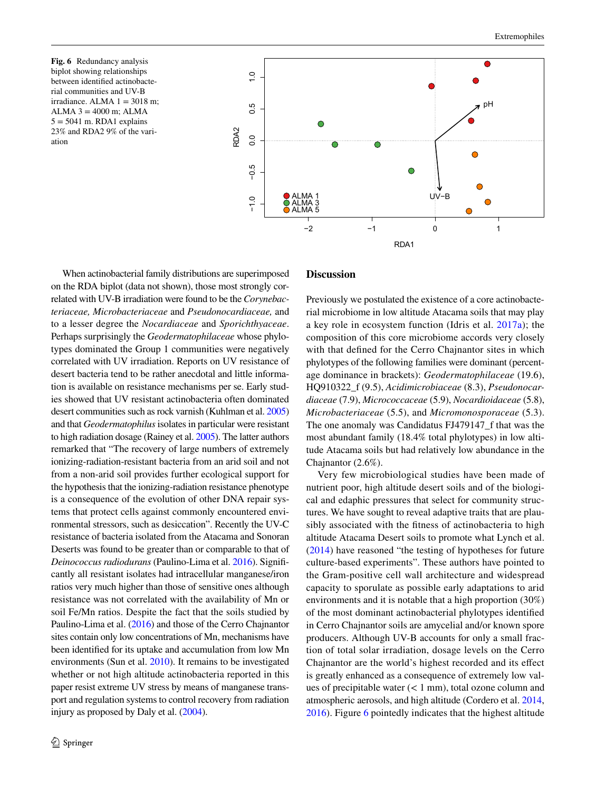**Fig. 6** Redundancy analysis biplot showing relationships between identified actinobacterial communities and UV-B irradiance. ALMA  $1 = 3018$  m; ALMA  $3 = 4000$  m; ALMA  $5 = 5041$  m. RDA1 explains 23% and RDA2 9% of the variation



When actinobacterial family distributions are superimposed on the RDA biplot (data not shown), those most strongly correlated with UV-B irradiation were found to be the *Corynebacteriaceae, Microbacteriaceae* and *Pseudonocardiaceae,* and to a lesser degree the *Nocardiaceae* and *Sporichthyaceae*. Perhaps surprisingly the *Geodermatophilaceae* whose phylotypes dominated the Group 1 communities were negatively correlated with UV irradiation. Reports on UV resistance of desert bacteria tend to be rather anecdotal and little information is available on resistance mechanisms per se. Early studies showed that UV resistant actinobacteria often dominated desert communities such as rock varnish (Kuhlman et al. [2005\)](#page-9-21) and that *Geodermatophilus* isolates in particular were resistant to high radiation dosage (Rainey et al. [2005\)](#page-10-10). The latter authors remarked that "The recovery of large numbers of extremely ionizing-radiation-resistant bacteria from an arid soil and not from a non-arid soil provides further ecological support for the hypothesis that the ionizing-radiation resistance phenotype is a consequence of the evolution of other DNA repair systems that protect cells against commonly encountered environmental stressors, such as desiccation". Recently the UV-C resistance of bacteria isolated from the Atacama and Sonoran Deserts was found to be greater than or comparable to that of *Deinococcus radiodurans* (Paulino-Lima et al. [2016](#page-10-11)). Significantly all resistant isolates had intracellular manganese/iron ratios very much higher than those of sensitive ones although resistance was not correlated with the availability of Mn or soil Fe/Mn ratios. Despite the fact that the soils studied by Paulino-Lima et al. [\(2016\)](#page-10-11) and those of the Cerro Chajnantor sites contain only low concentrations of Mn, mechanisms have been identified for its uptake and accumulation from low Mn environments (Sun et al. [2010\)](#page-10-12). It remains to be investigated whether or not high altitude actinobacteria reported in this paper resist extreme UV stress by means of manganese transport and regulation systems to control recovery from radiation injury as proposed by Daly et al. [\(2004\)](#page-9-22).

#### **Discussion**

Previously we postulated the existence of a core actinobacterial microbiome in low altitude Atacama soils that may play a key role in ecosystem function (Idris et al. [2017a\)](#page-9-13); the composition of this core microbiome accords very closely with that defined for the Cerro Chajnantor sites in which phylotypes of the following families were dominant (percentage dominance in brackets): *Geodermatophilaceae* (19.6), HQ910322\_f (9.5), *Acidimicrobiaceae* (8.3), *Pseudonocardiaceae* (7.9), *Micrococcaceae* (5.9), *Nocardioidaceae* (5.8), *Microbacteriaceae* (5.5), and *Micromonosporaceae* (5.3). The one anomaly was Candidatus FJ479147\_f that was the most abundant family (18.4% total phylotypes) in low altitude Atacama soils but had relatively low abundance in the Chajnantor (2.6%).

Very few microbiological studies have been made of nutrient poor, high altitude desert soils and of the biological and edaphic pressures that select for community structures. We have sought to reveal adaptive traits that are plausibly associated with the fitness of actinobacteria to high altitude Atacama Desert soils to promote what Lynch et al. ([2014\)](#page-10-13) have reasoned "the testing of hypotheses for future culture-based experiments". These authors have pointed to the Gram-positive cell wall architecture and widespread capacity to sporulate as possible early adaptations to arid environments and it is notable that a high proportion (30%) of the most dominant actinobacterial phylotypes identiied in Cerro Chajnantor soils are amycelial and/or known spore producers. Although UV-B accounts for only a small fraction of total solar irradiation, dosage levels on the Cerro Chajnantor are the world's highest recorded and its efect is greatly enhanced as a consequence of extremely low values of precipitable water (< 1 mm), total ozone column and atmospheric aerosols, and high altitude (Cordero et al. [2014,](#page-9-12) [2016](#page-9-14)). Figure [6](#page-7-0) pointedly indicates that the highest altitude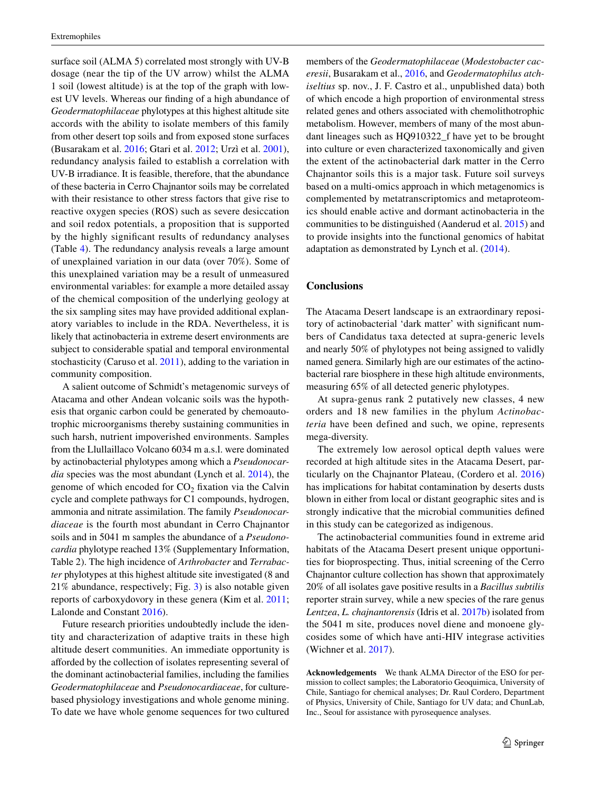surface soil (ALMA 5) correlated most strongly with UV-B dosage (near the tip of the UV arrow) whilst the ALMA 1 soil (lowest altitude) is at the top of the graph with lowest UV levels. Whereas our finding of a high abundance of *Geodermatophilaceae* phylotypes at this highest altitude site accords with the ability to isolate members of this family from other desert top soils and from exposed stone surfaces (Busarakam et al. [2016](#page-9-23); Gtari et al. [2012](#page-9-19); Urzì et al. [2001](#page-10-14)), redundancy analysis failed to establish a correlation with UV-B irradiance. It is feasible, therefore, that the abundance of these bacteria in Cerro Chajnantor soils may be correlated with their resistance to other stress factors that give rise to reactive oxygen species (ROS) such as severe desiccation and soil redox potentials, a proposition that is supported by the highly significant results of redundancy analyses (Table [4\)](#page-6-1). The redundancy analysis reveals a large amount of unexplained variation in our data (over 70%). Some of this unexplained variation may be a result of unmeasured environmental variables: for example a more detailed assay of the chemical composition of the underlying geology at the six sampling sites may have provided additional explanatory variables to include in the RDA. Nevertheless, it is likely that actinobacteria in extreme desert environments are subject to considerable spatial and temporal environmental stochasticity (Caruso et al. [2011](#page-9-24)), adding to the variation in community composition.

<span id="page-9-27"></span><span id="page-9-18"></span><span id="page-9-9"></span><span id="page-9-8"></span><span id="page-9-7"></span><span id="page-9-1"></span>A salient outcome of Schmidt's metagenomic surveys of Atacama and other Andean volcanic soils was the hypothesis that organic carbon could be generated by chemoautotrophic microorganisms thereby sustaining communities in such harsh, nutrient impoverished environments. Samples from the Llullaillaco Volcano 6034 m a.s.l. were dominated by actinobacterial phylotypes among which a *Pseudonocardia* species was the most abundant (Lynch et al. [2014](#page-10-13)), the genome of which encoded for  $CO_2$  fixation via the Calvin cycle and complete pathways for C1 compounds, hydrogen, ammonia and nitrate assimilation. The family *Pseudonocardiaceae* is the fourth most abundant in Cerro Chajnantor soils and in 5041 m samples the abundance of a *Pseudonocardia* phylotype reached 13% (Supplementary Information, Table 2). The high incidence of *Arthrobacter* and *Terrabacter* phylotypes at this highest altitude site investigated (8 and 21% abundance, respectively; Fig. [3\)](#page-4-0) is also notable given reports of carboxydovory in these genera (Kim et al. [2011](#page-9-25); Lalonde and Constant [2016](#page-9-26)).

<span id="page-9-24"></span><span id="page-9-23"></span><span id="page-9-4"></span><span id="page-9-3"></span><span id="page-9-2"></span>Future research priorities undoubtedly include the identity and characterization of adaptive traits in these high altitude desert communities. An immediate opportunity is aforded by the collection of isolates representing several of the dominant actinobacterial families, including the families *Geodermatophilaceae* and *Pseudonocardiaceae*, for culturebased physiology investigations and whole genome mining. To date we have whole genome sequences for two cultured <span id="page-9-16"></span><span id="page-9-14"></span><span id="page-9-12"></span><span id="page-9-11"></span>members of the *Geodermatophilaceae* (*Modestobacter caceresii*, Busarakam et al., [2016,](#page-9-23) and *Geodermatophilus atchiseltius* sp. nov., J. F. Castro et al., unpublished data) both of which encode a high proportion of environmental stress related genes and others associated with chemolithotrophic metabolism. However, members of many of the most abundant lineages such as HQ910322\_f have yet to be brought into culture or even characterized taxonomically and given the extent of the actinobacterial dark matter in the Cerro Chajnantor soils this is a major task. Future soil surveys based on a multi-omics approach in which metagenomics is complemented by metatranscriptomics and metaproteomics should enable active and dormant actinobacteria in the communities to be distinguished (Aanderud et al. [2015](#page-9-27)) and to provide insights into the functional genomics of habitat adaptation as demonstrated by Lynch et al. ([2014](#page-10-13)).

# <span id="page-9-22"></span><span id="page-9-20"></span><span id="page-9-6"></span><span id="page-9-5"></span>**Conclusions**

<span id="page-9-19"></span>The Atacama Desert landscape is an extraordinary repository of actinobacterial 'dark matter' with significant numbers of Candidatus taxa detected at supra-generic levels and nearly 50% of phylotypes not being assigned to validly named genera. Similarly high are our estimates of the actinobacterial rare biosphere in these high altitude environments, measuring 65% of all detected generic phylotypes.

<span id="page-9-15"></span><span id="page-9-0"></span>At supra-genus rank 2 putatively new classes, 4 new orders and 18 new families in the phylum *Actinobacteria* have been defined and such, we opine, represents mega-diversity.

<span id="page-9-28"></span><span id="page-9-13"></span>The extremely low aerosol optical depth values were recorded at high altitude sites in the Atacama Desert, particularly on the Chajnantor Plateau, (Cordero et al. [2016](#page-9-14)) has implications for habitat contamination by deserts dusts blown in either from local or distant geographic sites and is strongly indicative that the microbial communities defined in this study can be categorized as indigenous.

<span id="page-9-26"></span><span id="page-9-25"></span><span id="page-9-21"></span>The actinobacterial communities found in extreme arid habitats of the Atacama Desert present unique opportunities for bioprospecting. Thus, initial screening of the Cerro Chajnantor culture collection has shown that approximately 20% of all isolates gave positive results in a *Bacillus subtilis* reporter strain survey, while a new species of the rare genus *Lentzea*, *L. chajnantorensis* (Idris et al. [2017b](#page-9-28)) isolated from the 5041 m site, produces novel diene and monoene glycosides some of which have anti-HIV integrase activities (Wichner et al. [2017\)](#page-10-15).

<span id="page-9-17"></span><span id="page-9-10"></span>**Acknowledgements** We thank ALMA Director of the ESO for permission to collect samples; the Laboratorio Geoquimica, University of Chile, Santiago for chemical analyses; Dr. Raul Cordero, Department of Physics, University of Chile, Santiago for UV data; and ChunLab, Inc., Seoul for assistance with pyrosequence analyses.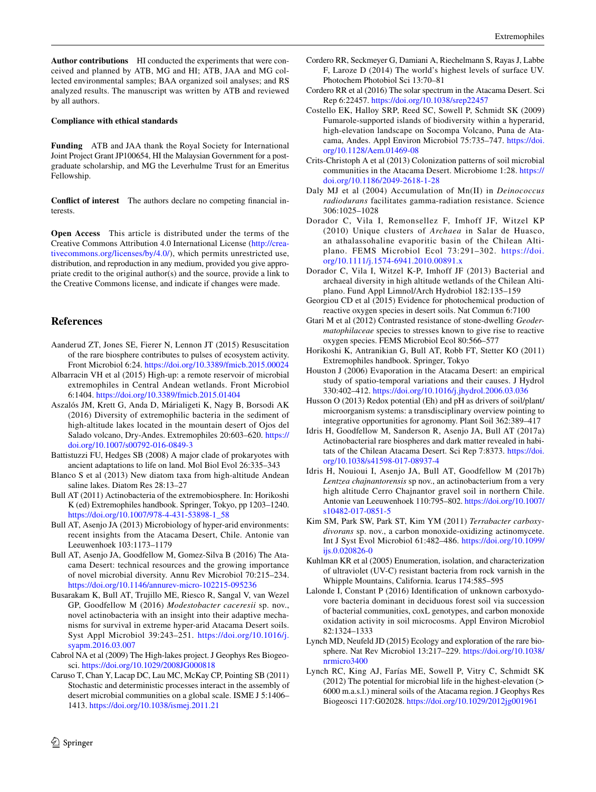<span id="page-10-13"></span>**Author contributions** HI conducted the experiments that were conceived and planned by ATB, MG and HI; ATB, JAA and MG collected environmental samples; BAA organized soil analyses; and RS analyzed results. The manuscript was written by ATB and reviewed by all authors.

#### <span id="page-10-8"></span>**Compliance with ethical standards**

<span id="page-10-0"></span>**Funding** ATB and JAA thank the Royal Society for International Joint Project Grant JP100654, HI the Malaysian Government for a postgraduate scholarship, and MG the Leverhulme Trust for an Emeritus Fellowship.

<span id="page-10-9"></span>**Conflict of interest** The authors declare no competing financial interests.

<span id="page-10-7"></span><span id="page-10-4"></span>**Open Access** This article is distributed under the terms of the Creative Commons Attribution 4.0 International License [\(http://crea](http://creativecommons.org/licenses/by/4.0/)[tivecommons.org/licenses/by/4.0/\)](http://creativecommons.org/licenses/by/4.0/), which permits unrestricted use, distribution, and reproduction in any medium, provided you give appropriate credit to the original author(s) and the source, provide a link to the Creative Commons license, and indicate if changes were made.

## <span id="page-10-11"></span>**References**

- <span id="page-10-10"></span>Aanderud ZT, Jones SE, Fierer N, Lennon JT (2015) Resuscitation of the rare biosphere contributes to pulses of ecosystem activity. Front Microbiol 6:24. <https://doi.org/10.3389/fmicb.2015.00024>
- Albarracin VH et al (2015) High-up: a remote reservoir of microbial extremophiles in Central Andean wetlands. Front Microbiol 6:1404.<https://doi.org/10.3389/fmicb.2015.01404>
- Aszalós JM, Krett G, Anda D, Márialigeti K, Nagy B, Borsodi AK (2016) Diversity of extremophilic bacteria in the sediment of high-altitude lakes located in the mountain desert of Ojos del Salado volcano, Dry-Andes. Extremophiles 20:603–620. [https://](https://doi.org/10.1007/s00792-016-0849-3) [doi.org/10.1007/s00792-016-0849-3](https://doi.org/10.1007/s00792-016-0849-3)
- Battistuzzi FU, Hedges SB (2008) A major clade of prokaryotes with ancient adaptations to life on land. Mol Biol Evol 26:335–343
- Blanco S et al (2013) New diatom taxa from high-altitude Andean saline lakes. Diatom Res 28:13–27
- Bull AT (2011) Actinobacteria of the extremobiosphere. In: Horikoshi K (ed) Extremophiles handbook. Springer, Tokyo, pp 1203–1240. [https://doi.org/10.1007/978-4-431-53898-1\\_58](https://doi.org/10.1007/978-4-431-53898-1_58)
- Bull AT, Asenjo JA (2013) Microbiology of hyper-arid environments: recent insights from the Atacama Desert, Chile. Antonie van Leeuwenhoek 103:1173–1179
- Bull AT, Asenjo JA, Goodfellow M, Gomez-Silva B (2016) The Atacama Desert: technical resources and the growing importance of novel microbial diversity. Annu Rev Microbiol 70:215–234. <https://doi.org/10.1146/annurev-micro-102215-095236>
- Busarakam K, Bull AT, Trujillo ME, Riesco R, Sangal V, van Wezel GP, Goodfellow M (2016) *Modestobacter caceresii* sp. nov., novel actinobacteria with an insight into their adaptive mechanisms for survival in extreme hyper-arid Atacama Desert soils. Syst Appl Microbiol 39:243–251. [https://doi.org/10.1016/j.](https://doi.org/10.1016/j.syapm.2016.03.007) [syapm.2016.03.007](https://doi.org/10.1016/j.syapm.2016.03.007)
- Cabrol NA et al (2009) The High-lakes project. J Geophys Res Biogeosci. <https://doi.org/10.1029/2008JG000818>
- Caruso T, Chan Y, Lacap DC, Lau MC, McKay CP, Pointing SB (2011) Stochastic and deterministic processes interact in the assembly of desert microbial communities on a global scale. ISME J 5:1406– 1413.<https://doi.org/10.1038/ismej.2011.21>
- Cordero RR, Seckmeyer G, Damiani A, Riechelmann S, Rayas J, Labbe F, Laroze D (2014) The world's highest levels of surface UV. Photochem Photobiol Sci 13:70–81
- <span id="page-10-3"></span>Cordero RR et al (2016) The solar spectrum in the Atacama Desert. Sci Rep 6:22457.<https://doi.org/10.1038/srep22457>
- <span id="page-10-1"></span>Costello EK, Halloy SRP, Reed SC, Sowell P, Schmidt SK (2009) Fumarole-supported islands of biodiversity within a hyperarid, high-elevation landscape on Socompa Volcano, Puna de Atacama, Andes. Appl Environ Microbiol 75:735–747. [https://doi.](https://doi.org/10.1128/Aem.01469-08) [org/10.1128/Aem.01469-08](https://doi.org/10.1128/Aem.01469-08)
- <span id="page-10-12"></span>Crits-Christoph A et al (2013) Colonization patterns of soil microbial communities in the Atacama Desert. Microbiome 1:28. [https://](https://doi.org/10.1186/2049-2618-1-28) [doi.org/10.1186/2049-2618-1-28](https://doi.org/10.1186/2049-2618-1-28)
- <span id="page-10-5"></span>Daly MJ et al (2004) Accumulation of Mn(II) in *Deinococcus radiodurans* facilitates gamma-radiation resistance. Science 306:1025–1028
- <span id="page-10-14"></span>Dorador C, Vila I, Remonsellez F, Imhoff JF, Witzel KP (2010) Unique clusters of *Archaea* in Salar de Huasco, an athalassohaline evaporitic basin of the Chilean Altiplano. FEMS Microbiol Ecol 73:291–302. [https://doi.](https://doi.org/10.1111/j.1574-6941.2010.00891.x) [org/10.1111/j.1574-6941.2010.00891.x](https://doi.org/10.1111/j.1574-6941.2010.00891.x)
- <span id="page-10-15"></span>Dorador C, Vila I, Witzel K-P, Imhoff JF (2013) Bacterial and archaeal diversity in high altitude wetlands of the Chilean Altiplano. Fund Appl Limnol/Arch Hydrobiol 182:135–159
- <span id="page-10-2"></span>Georgiou CD et al (2015) Evidence for photochemical production of reactive oxygen species in desert soils. Nat Commun 6:7100
- Gtari M et al (2012) Contrasted resistance of stone-dwelling *Geodermatophilaceae* species to stresses known to give rise to reactive oxygen species. FEMS Microbiol Ecol 80:566–577
- <span id="page-10-6"></span>Horikoshi K, Antranikian G, Bull AT, Robb FT, Stetter KO (2011) Extremophiles handbook. Springer, Tokyo
- Houston J (2006) Evaporation in the Atacama Desert: an empirical study of spatio-temporal variations and their causes. J Hydrol 330:402–412. <https://doi.org/10.1016/j.jhydrol.2006.03.036>
- Husson O (2013) Redox potential (Eh) and pH as drivers of soil/plant/ microorganism systems: a transdisciplinary overview pointing to integrative opportunities for agronomy. Plant Soil 362:389–417
- Idris H, Goodfellow M, Sanderson R, Asenjo JA, Bull AT (2017a) Actinobacterial rare biospheres and dark matter revealed in habitats of the Chilean Atacama Desert. Sci Rep 7:8373. [https://doi.](https://doi.org/10.1038/s41598-017-08937-4) [org/10.1038/s41598-017-08937-4](https://doi.org/10.1038/s41598-017-08937-4)
- Idris H, Nouioui I, Asenjo JA, Bull AT, Goodfellow M (2017b) *Lentzea chajnantorensis* sp nov., an actinobacterium from a very high altitude Cerro Chajnantor gravel soil in northern Chile. Antonie van Leeuwenhoek 110:795–802. [https://doi.org/10.1007/](https://doi.org/10.1007/s10482-017-0851-5) [s10482-017-0851-5](https://doi.org/10.1007/s10482-017-0851-5)
- Kim SM, Park SW, Park ST, Kim YM (2011) *Terrabacter carboxydivorans* sp. nov., a carbon monoxide-oxidizing actinomycete. Int J Syst Evol Microbiol 61:482–486. [https://doi.org/10.1099/](https://doi.org/10.1099/ijs.0.020826-0) [ijs.0.020826-0](https://doi.org/10.1099/ijs.0.020826-0)
- Kuhlman KR et al (2005) Enumeration, isolation, and characterization of ultraviolet (UV-C) resistant bacteria from rock varnish in the Whipple Mountains, California. Icarus 174:585–595
- Lalonde I, Constant P (2016) Identification of unknown carboxydovore bacteria dominant in deciduous forest soil via succession of bacterial communities, coxL genotypes, and carbon monoxide oxidation activity in soil microcosms. Appl Environ Microbiol 82:1324–1333
- Lynch MD, Neufeld JD (2015) Ecology and exploration of the rare biosphere. Nat Rev Microbiol 13:217–229. [https://doi.org/10.1038/](https://doi.org/10.1038/nrmicro3400) [nrmicro3400](https://doi.org/10.1038/nrmicro3400)
- Lynch RC, King AJ, Farías ME, Sowell P, Vitry C, Schmidt SK (2012) The potential for microbial life in the highest-elevation (> 6000 m.a.s.l.) mineral soils of the Atacama region. J Geophys Res Biogeosci 117:G02028. <https://doi.org/10.1029/2012jg001961>